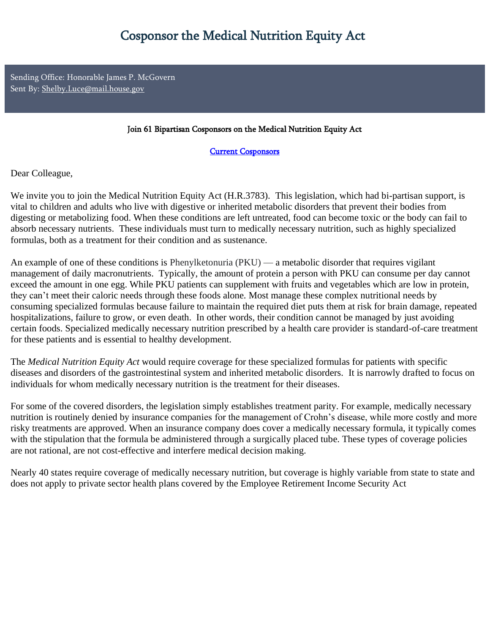Sending Office: Honorable James P. McGovern Sent By: Shelby.Luce@mail.house.gov

## Join 61 Bipartisan Cosponsors on the Medical Nutrition Equity Act

Current Cosponsors

Dear Colleague,

We invite you to join the Medical Nutrition Equity Act (H.R.3783). This legislation, which had bi-partisan support, is vital to children and adults who live with digestive or inherited metabolic disorders that prevent their bodies from digesting or metabolizing food. When these conditions are left untreated, food can become toxic or the body can fail to absorb necessary nutrients. These individuals must turn to medically necessary nutrition, such as highly specialized formulas, both as a treatment for their condition and as sustenance.

An example of one of these conditions is Phenylketonuria (PKU) — a metabolic disorder that requires vigilant management of daily macronutrients. Typically, the amount of protein a person with PKU can consume per day cannot exceed the amount in one egg. While PKU patients can supplement with fruits and vegetables which are low in protein, they can't meet their caloric needs through these foods alone. Most manage these complex nutritional needs by consuming specialized formulas because failure to maintain the required diet puts them at risk for brain damage, repeated hospitalizations, failure to grow, or even death. In other words, their condition cannot be managed by just avoiding certain foods. Specialized medically necessary nutrition prescribed by a health care provider is standard-of-care treatment for these patients and is essential to healthy development.

The *Medical Nutrition Equity Act* would require coverage for these specialized formulas for patients with specific diseases and disorders of the gastrointestinal system and inherited metabolic disorders. It is narrowly drafted to focus on individuals for whom medically necessary nutrition is the treatment for their diseases.

For some of the covered disorders, the legislation simply establishes treatment parity. For example, medically necessary nutrition is routinely denied by insurance companies for the management of Crohn's disease, while more costly and more risky treatments are approved. When an insurance company does cover a medically necessary formula, it typically comes with the stipulation that the formula be administered through a surgically placed tube. These types of coverage policies are not rational, are not cost-effective and interfere medical decision making.

Nearly 40 states require coverage of medically necessary nutrition, but coverage is highly variable from state to state and does not apply to private sector health plans covered by the Employee Retirement Income Security Act